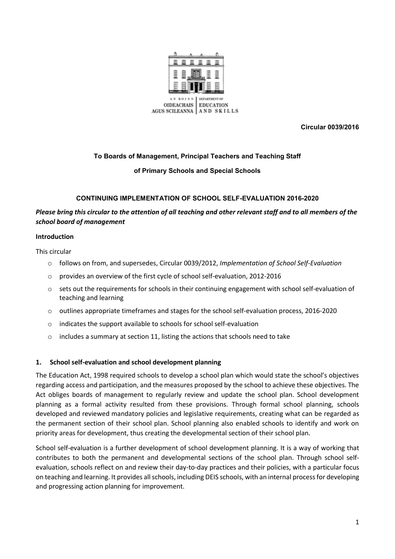

**Circular 0039/2016**

### **To Boards of Management, Principal Teachers and Teaching Staff**

#### **of Primary Schools and Special Schools**

#### **CONTINUING IMPLEMENTATION OF SCHOOL SELF-EVALUATION 2016-2020**

# *Please bring this circular to the attention of all teaching and other relevant staff and to all members of the school board of management*

#### **Introduction**

This circular

- o follows on from, and supersedes, Circular 0039/2012, *Implementation of School Self-Evaluation*
- o provides an overview of the first cycle of school self-evaluation, 2012-2016
- $\circ$  sets out the requirements for schools in their continuing engagement with school self-evaluation of teaching and learning
- $\circ$  outlines appropriate timeframes and stages for the school self-evaluation process, 2016-2020
- o indicates the support available to schools for school self-evaluation
- o includes a summary at section 11, listing the actions that schools need to take

#### **1. School self-evaluation and school development planning**

The Education Act, 1998 required schools to develop a school plan which would state the school's objectives regarding access and participation, and the measures proposed by the school to achieve these objectives. The Act obliges boards of management to regularly review and update the school plan. School development planning as a formal activity resulted from these provisions. Through formal school planning, schools developed and reviewed mandatory policies and legislative requirements, creating what can be regarded as the permanent section of their school plan. School planning also enabled schools to identify and work on priority areas for development, thus creating the developmental section of their school plan.

School self-evaluation is a further development of school development planning. It is a way of working that contributes to both the permanent and developmental sections of the school plan. Through school selfevaluation, schools reflect on and review their day-to-day practices and their policies, with a particular focus on teaching and learning. It provides all schools, including DEIS schools, with an internal process for developing and progressing action planning for improvement.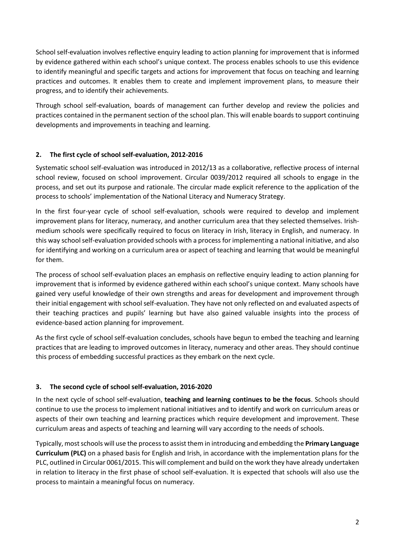School self-evaluation involves reflective enquiry leading to action planning for improvement that is informed by evidence gathered within each school's unique context. The process enables schools to use this evidence to identify meaningful and specific targets and actions for improvement that focus on teaching and learning practices and outcomes. It enables them to create and implement improvement plans, to measure their progress, and to identify their achievements.

Through school self-evaluation, boards of management can further develop and review the policies and practices contained in the permanent section of the school plan. This will enable boards to support continuing developments and improvements in teaching and learning.

# **2. The first cycle of school self-evaluation, 2012-2016**

Systematic school self-evaluation was introduced in 2012/13 as a collaborative, reflective process of internal school review, focused on school improvement. Circular 0039/2012 required all schools to engage in the process, and set out its purpose and rationale. The circular made explicit reference to the application of the process to schools' implementation of the National Literacy and Numeracy Strategy.

In the first four-year cycle of school self-evaluation, schools were required to develop and implement improvement plans for literacy, numeracy, and another curriculum area that they selected themselves. Irishmedium schools were specifically required to focus on literacy in Irish, literacy in English, and numeracy. In this way school self-evaluation provided schools with a process for implementing a national initiative, and also for identifying and working on a curriculum area or aspect of teaching and learning that would be meaningful for them.

The process of school self-evaluation places an emphasis on reflective enquiry leading to action planning for improvement that is informed by evidence gathered within each school's unique context. Many schools have gained very useful knowledge of their own strengths and areas for development and improvement through their initial engagement with school self-evaluation. They have not only reflected on and evaluated aspects of their teaching practices and pupils' learning but have also gained valuable insights into the process of evidence-based action planning for improvement.

As the first cycle of school self-evaluation concludes, schools have begun to embed the teaching and learning practices that are leading to improved outcomes in literacy, numeracy and other areas. They should continue this process of embedding successful practices as they embark on the next cycle.

# **3. The second cycle of school self-evaluation, 2016-2020**

In the next cycle of school self-evaluation, **teaching and learning continues to be the focus**. Schools should continue to use the process to implement national initiatives and to identify and work on curriculum areas or aspects of their own teaching and learning practices which require development and improvement. These curriculum areas and aspects of teaching and learning will vary according to the needs of schools.

Typically, most schools will use the process to assist them in introducing and embedding the **Primary Language Curriculum (PLC)** on a phased basis for English and Irish, in accordance with the implementation plans for the PLC, outlined in Circular 0061/2015. This will complement and build on the work they have already undertaken in relation to literacy in the first phase of school self-evaluation. It is expected that schools will also use the process to maintain a meaningful focus on numeracy.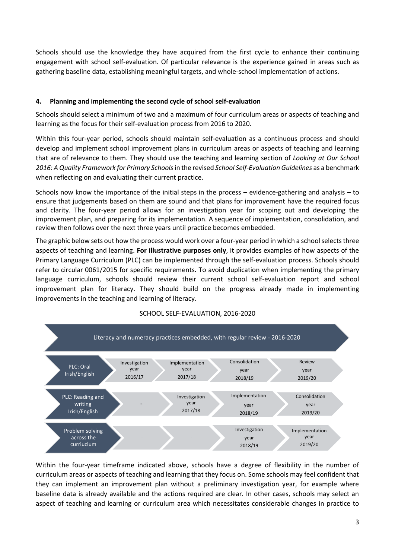Schools should use the knowledge they have acquired from the first cycle to enhance their continuing engagement with school self-evaluation. Of particular relevance is the experience gained in areas such as gathering baseline data, establishing meaningful targets, and whole-school implementation of actions.

# **4. Planning and implementing the second cycle of school self-evaluation**

Schools should select a minimum of two and a maximum of four curriculum areas or aspects of teaching and learning as the focus for their self-evaluation process from 2016 to 2020.

Within this four-year period, schools should maintain self-evaluation as a continuous process and should develop and implement school improvement plans in curriculum areas or aspects of teaching and learning that are of relevance to them. They should use the teaching and learning section of *Looking at Our School 2016: A Quality Framework for Primary Schools* in the revised *School Self-Evaluation Guidelines* as a benchmark when reflecting on and evaluating their current practice.

Schools now know the importance of the initial steps in the process – evidence-gathering and analysis – to ensure that judgements based on them are sound and that plans for improvement have the required focus and clarity. The four-year period allows for an investigation year for scoping out and developing the improvement plan, and preparing for its implementation. A sequence of implementation, consolidation, and review then follows over the next three years until practice becomes embedded.

The graphic below sets out how the process would work over a four-year period in which a school selects three aspects of teaching and learning. **For illustrative purposes only**, it provides examples of how aspects of the Primary Language Curriculum (PLC) can be implemented through the self-evaluation process. Schools should refer to circular 0061/2015 for specific requirements. To avoid duplication when implementing the primary language curriculum, schools should review their current school self-evaluation report and school improvement plan for literacy. They should build on the progress already made in implementing improvements in the teaching and learning of literacy.



# SCHOOL SELF-EVALUATION, 2016-2020

Within the four-year timeframe indicated above, schools have a degree of flexibility in the number of curriculum areas or aspects of teaching and learning that they focus on. Some schools may feel confident that they can implement an improvement plan without a preliminary investigation year, for example where baseline data is already available and the actions required are clear. In other cases, schools may select an aspect of teaching and learning or curriculum area which necessitates considerable changes in practice to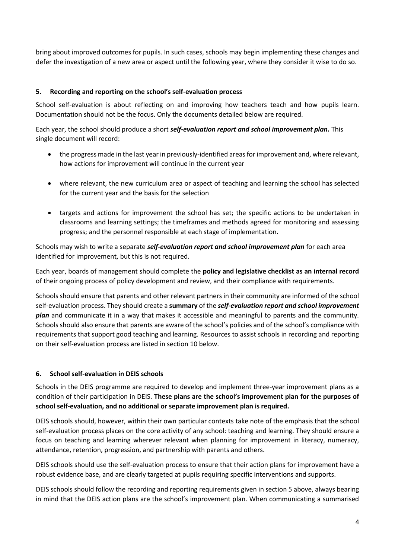bring about improved outcomes for pupils. In such cases, schools may begin implementing these changes and defer the investigation of a new area or aspect until the following year, where they consider it wise to do so.

### **5. Recording and reporting on the school's self-evaluation process**

School self-evaluation is about reflecting on and improving how teachers teach and how pupils learn. Documentation should not be the focus. Only the documents detailed below are required.

Each year, the school should produce a short *self-evaluation report and school improvement plan***.** This single document will record:

- the progress made in the last year in previously-identified areas for improvement and, where relevant, how actions for improvement will continue in the current year
- where relevant, the new curriculum area or aspect of teaching and learning the school has selected for the current year and the basis for the selection
- targets and actions for improvement the school has set; the specific actions to be undertaken in classrooms and learning settings; the timeframes and methods agreed for monitoring and assessing progress; and the personnel responsible at each stage of implementation.

Schools may wish to write a separate *self-evaluation report and school improvement plan* for each area identified for improvement, but this is not required.

Each year, boards of management should complete the **policy and legislative checklist as an internal record** of their ongoing process of policy development and review, and their compliance with requirements.

Schools should ensure that parents and other relevant partners in their community are informed of the school self-evaluation process. They should create a **summary** of the *self-evaluation report and school improvement plan* and communicate it in a way that makes it accessible and meaningful to parents and the community. Schools should also ensure that parents are aware of the school's policies and of the school's compliance with requirements that support good teaching and learning. Resources to assist schools in recording and reporting on their self-evaluation process are listed in section 10 below.

### **6. School self-evaluation in DEIS schools**

Schools in the DEIS programme are required to develop and implement three-year improvement plans as a condition of their participation in DEIS. **These plans are the school's improvement plan for the purposes of school self-evaluation, and no additional or separate improvement plan is required.**

DEIS schools should, however, within their own particular contexts take note of the emphasis that the school self-evaluation process places on the core activity of any school: teaching and learning. They should ensure a focus on teaching and learning wherever relevant when planning for improvement in literacy, numeracy, attendance, retention, progression, and partnership with parents and others.

DEIS schools should use the self-evaluation process to ensure that their action plans for improvement have a robust evidence base, and are clearly targeted at pupils requiring specific interventions and supports.

DEIS schools should follow the recording and reporting requirements given in section 5 above, always bearing in mind that the DEIS action plans are the school's improvement plan. When communicating a summarised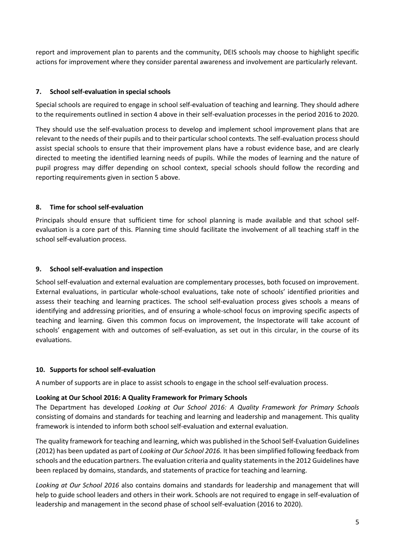report and improvement plan to parents and the community, DEIS schools may choose to highlight specific actions for improvement where they consider parental awareness and involvement are particularly relevant.

### **7. School self-evaluation in special schools**

Special schools are required to engage in school self-evaluation of teaching and learning. They should adhere to the requirements outlined in section 4 above in their self-evaluation processes in the period 2016 to 2020.

They should use the self-evaluation process to develop and implement school improvement plans that are relevant to the needs of their pupils and to their particular school contexts. The self-evaluation process should assist special schools to ensure that their improvement plans have a robust evidence base, and are clearly directed to meeting the identified learning needs of pupils. While the modes of learning and the nature of pupil progress may differ depending on school context, special schools should follow the recording and reporting requirements given in section 5 above.

# **8. Time for school self-evaluation**

Principals should ensure that sufficient time for school planning is made available and that school selfevaluation is a core part of this. Planning time should facilitate the involvement of all teaching staff in the school self-evaluation process.

### **9. School self-evaluation and inspection**

School self-evaluation and external evaluation are complementary processes, both focused on improvement. External evaluations, in particular whole-school evaluations, take note of schools' identified priorities and assess their teaching and learning practices. The school self-evaluation process gives schools a means of identifying and addressing priorities, and of ensuring a whole-school focus on improving specific aspects of teaching and learning. Given this common focus on improvement, the Inspectorate will take account of schools' engagement with and outcomes of self-evaluation, as set out in this circular, in the course of its evaluations.

### **10. Supports for school self-evaluation**

A number of supports are in place to assist schools to engage in the school self-evaluation process.

### **Looking at Our School 2016: A Quality Framework for Primary Schools**

The Department has developed *Looking at Our School 2016: A Quality Framework for Primary Schools* consisting of domains and standards for teaching and learning and leadership and management. This quality framework is intended to inform both school self-evaluation and external evaluation.

The quality framework for teaching and learning, which was published in the School Self-Evaluation Guidelines (2012) has been updated as part of *Looking at Our School 2016.* It has been simplified following feedback from schools and the education partners. The evaluation criteria and quality statements in the 2012 Guidelines have been replaced by domains, standards, and statements of practice for teaching and learning.

*Looking at Our School 2016* also contains domains and standards for leadership and management that will help to guide school leaders and others in their work. Schools are not required to engage in self-evaluation of leadership and management in the second phase of school self-evaluation (2016 to 2020).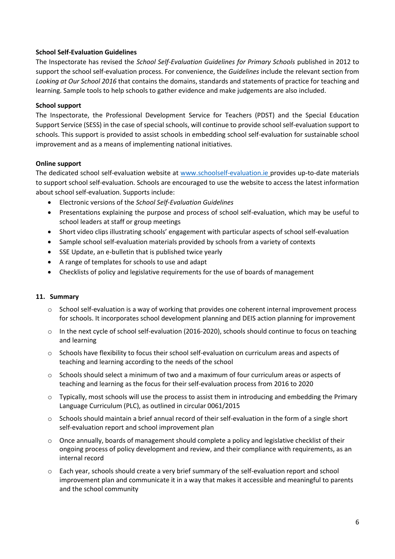#### **School Self-Evaluation Guidelines**

The Inspectorate has revised the *School Self-Evaluation Guidelines for Primary Schools* published in 2012 to support the school self-evaluation process. For convenience, the *Guidelines* include the relevant section from *Looking at Our School 2016* that contains the domains, standards and statements of practice for teaching and learning. Sample tools to help schools to gather evidence and make judgements are also included.

#### **School support**

The Inspectorate, the Professional Development Service for Teachers (PDST) and the Special Education Support Service (SESS) in the case of special schools, will continue to provide school self-evaluation support to schools. This support is provided to assist schools in embedding school self-evaluation for sustainable school improvement and as a means of implementing national initiatives.

#### **Online support**

The dedicated school self-evaluation website at [www.schoolself-evaluation.ie](http://www.schoolself-evaluation.ie/) provides up-to-date materials to support school self-evaluation. Schools are encouraged to use the website to access the latest information about school self-evaluation. Supports include:

- Electronic versions of the *School Self-Evaluation Guidelines*
- Presentations explaining the purpose and process of school self-evaluation, which may be useful to school leaders at staff or group meetings
- Short video clips illustrating schools' engagement with particular aspects of school self-evaluation
- Sample school self-evaluation materials provided by schools from a variety of contexts
- SSE Update, an e-bulletin that is published twice yearly
- A range of templates for schools to use and adapt
- Checklists of policy and legislative requirements for the use of boards of management

#### **11. Summary**

- o School self-evaluation is a way of working that provides one coherent internal improvement process for schools. It incorporates school development planning and DEIS action planning for improvement
- $\circ$  In the next cycle of school self-evaluation (2016-2020), schools should continue to focus on teaching and learning
- o Schools have flexibility to focus their school self-evaluation on curriculum areas and aspects of teaching and learning according to the needs of the school
- $\circ$  Schools should select a minimum of two and a maximum of four curriculum areas or aspects of teaching and learning as the focus for their self-evaluation process from 2016 to 2020
- $\circ$  Typically, most schools will use the process to assist them in introducing and embedding the Primary Language Curriculum (PLC), as outlined in circular 0061/2015
- o Schools should maintain a brief annual record of their self-evaluation in the form of a single short self-evaluation report and school improvement plan
- $\circ$  Once annually, boards of management should complete a policy and legislative checklist of their ongoing process of policy development and review, and their compliance with requirements, as an internal record
- o Each year, schools should create a very brief summary of the self-evaluation report and school improvement plan and communicate it in a way that makes it accessible and meaningful to parents and the school community